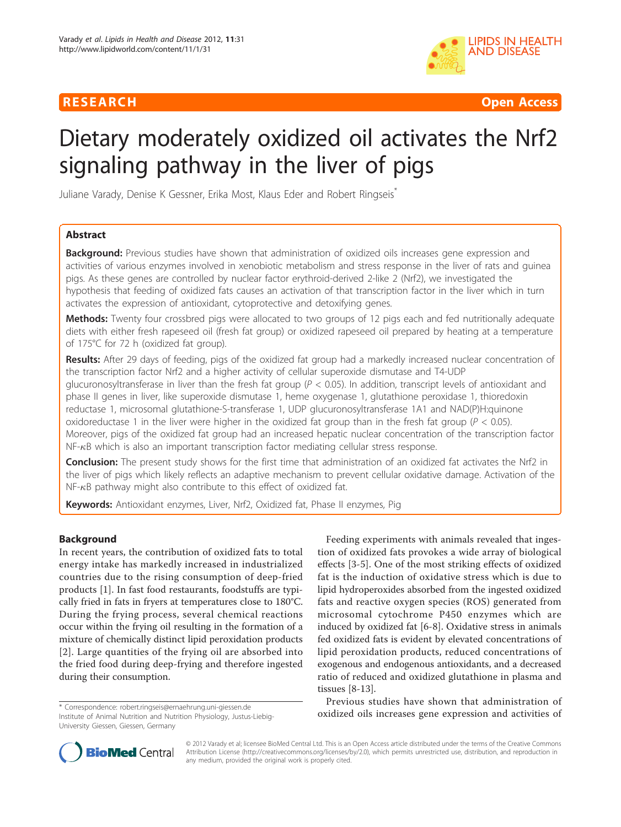



# Dietary moderately oxidized oil activates the Nrf2 signaling pathway in the liver of pigs

Juliane Varady, Denise K Gessner, Erika Most, Klaus Eder and Robert Ringseis<sup>\*</sup>

# Abstract

**Background:** Previous studies have shown that administration of oxidized oils increases gene expression and activities of various enzymes involved in xenobiotic metabolism and stress response in the liver of rats and guinea pigs. As these genes are controlled by nuclear factor erythroid-derived 2-like 2 (Nrf2), we investigated the hypothesis that feeding of oxidized fats causes an activation of that transcription factor in the liver which in turn activates the expression of antioxidant, cytoprotective and detoxifying genes.

**Methods:** Twenty four crossbred pigs were allocated to two groups of 12 pigs each and fed nutritionally adequate diets with either fresh rapeseed oil (fresh fat group) or oxidized rapeseed oil prepared by heating at a temperature of 175°C for 72 h (oxidized fat group).

Results: After 29 days of feeding, pigs of the oxidized fat group had a markedly increased nuclear concentration of the transcription factor Nrf2 and a higher activity of cellular superoxide dismutase and T4-UDP glucuronosyltransferase in liver than the fresh fat group ( $P < 0.05$ ). In addition, transcript levels of antioxidant and phase II genes in liver, like superoxide dismutase 1, heme oxygenase 1, glutathione peroxidase 1, thioredoxin reductase 1, microsomal glutathione-S-transferase 1, UDP glucuronosyltransferase 1A1 and NAD(P)H:quinone oxidoreductase 1 in the liver were higher in the oxidized fat group than in the fresh fat group ( $P < 0.05$ ). Moreover, pigs of the oxidized fat group had an increased hepatic nuclear concentration of the transcription factor  $NF-<sub>κ</sub>B$  which is also an important transcription factor mediating cellular stress response.

Conclusion: The present study shows for the first time that administration of an oxidized fat activates the Nrf2 in the liver of pigs which likely reflects an adaptive mechanism to prevent cellular oxidative damage. Activation of the  $NF-\kappa B$  pathway might also contribute to this effect of oxidized fat.

Keywords: Antioxidant enzymes, Liver, Nrf2, Oxidized fat, Phase II enzymes, Pig

# Background

In recent years, the contribution of oxidized fats to total energy intake has markedly increased in industrialized countries due to the rising consumption of deep-fried products [[1\]](#page-7-0). In fast food restaurants, foodstuffs are typically fried in fats in fryers at temperatures close to 180°C. During the frying process, several chemical reactions occur within the frying oil resulting in the formation of a mixture of chemically distinct lipid peroxidation products [[2](#page-7-0)]. Large quantities of the frying oil are absorbed into the fried food during deep-frying and therefore ingested during their consumption.

Institute of Animal Nutrition and Nutrition Physiology, Justus-Liebig-University Giessen, Giessen, Germany

Feeding experiments with animals revealed that ingestion of oxidized fats provokes a wide array of biological effects [\[3](#page-7-0)-[5\]](#page-7-0). One of the most striking effects of oxidized fat is the induction of oxidative stress which is due to lipid hydroperoxides absorbed from the ingested oxidized fats and reactive oxygen species (ROS) generated from microsomal cytochrome P450 enzymes which are induced by oxidized fat [\[6](#page-7-0)-[8\]](#page-7-0). Oxidative stress in animals fed oxidized fats is evident by elevated concentrations of lipid peroxidation products, reduced concentrations of exogenous and endogenous antioxidants, and a decreased ratio of reduced and oxidized glutathione in plasma and tissues [\[8](#page-7-0)-[13](#page-7-0)].

Previous studies have shown that administration of oxidized oils increases gene expression and activities of \* Correspondence: [robert.ringseis@ernaehrung.uni-giessen.de](mailto:robert.ringseis@ernaehrung.uni-giessen.de)



© 2012 Varady et al; licensee BioMed Central Ltd. This is an Open Access article distributed under the terms of the Creative Commons Attribution License [\(http://creativecommons.org/licenses/by/2.0](http://creativecommons.org/licenses/by/2.0)), which permits unrestricted use, distribution, and reproduction in any medium, provided the original work is properly cited.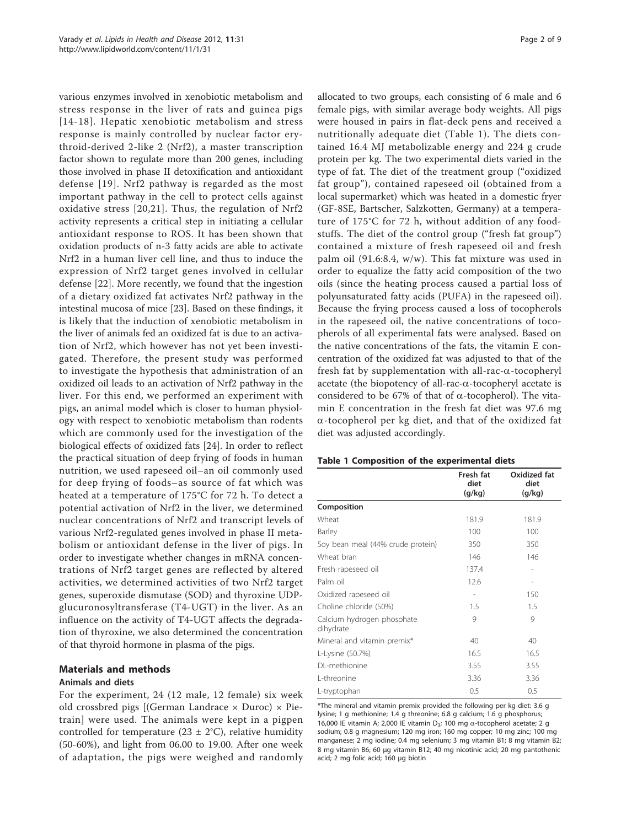various enzymes involved in xenobiotic metabolism and stress response in the liver of rats and guinea pigs [[14](#page-7-0)-[18\]](#page-7-0). Hepatic xenobiotic metabolism and stress response is mainly controlled by nuclear factor erythroid-derived 2-like 2 (Nrf2), a master transcription factor shown to regulate more than 200 genes, including those involved in phase II detoxification and antioxidant defense [[19\]](#page-7-0). Nrf2 pathway is regarded as the most important pathway in the cell to protect cells against oxidative stress [[20,21\]](#page-7-0). Thus, the regulation of Nrf2 activity represents a critical step in initiating a cellular antioxidant response to ROS. It has been shown that oxidation products of n-3 fatty acids are able to activate Nrf2 in a human liver cell line, and thus to induce the expression of Nrf2 target genes involved in cellular defense [[22\]](#page-7-0). More recently, we found that the ingestion of a dietary oxidized fat activates Nrf2 pathway in the intestinal mucosa of mice [[23](#page-7-0)]. Based on these findings, it is likely that the induction of xenobiotic metabolism in the liver of animals fed an oxidized fat is due to an activation of Nrf2, which however has not yet been investigated. Therefore, the present study was performed to investigate the hypothesis that administration of an oxidized oil leads to an activation of Nrf2 pathway in the liver. For this end, we performed an experiment with pigs, an animal model which is closer to human physiology with respect to xenobiotic metabolism than rodents which are commonly used for the investigation of the biological effects of oxidized fats [[24\]](#page-8-0). In order to reflect the practical situation of deep frying of foods in human nutrition, we used rapeseed oil–an oil commonly used for deep frying of foods–as source of fat which was heated at a temperature of 175°C for 72 h. To detect a potential activation of Nrf2 in the liver, we determined nuclear concentrations of Nrf2 and transcript levels of various Nrf2-regulated genes involved in phase II metabolism or antioxidant defense in the liver of pigs. In order to investigate whether changes in mRNA concentrations of Nrf2 target genes are reflected by altered activities, we determined activities of two Nrf2 target genes, superoxide dismutase (SOD) and thyroxine UDPglucuronosyltransferase (T4-UGT) in the liver. As an influence on the activity of T4-UGT affects the degradation of thyroxine, we also determined the concentration of that thyroid hormone in plasma of the pigs.

## Materials and methods

# Animals and diets

For the experiment, 24 (12 male, 12 female) six week old crossbred pigs [(German Landrace  $\times$  Duroc)  $\times$  Pietrain] were used. The animals were kept in a pigpen controlled for temperature (23  $\pm$  2°C), relative humidity (50-60%), and light from 06.00 to 19.00. After one week of adaptation, the pigs were weighed and randomly allocated to two groups, each consisting of 6 male and 6 female pigs, with similar average body weights. All pigs were housed in pairs in flat-deck pens and received a nutritionally adequate diet (Table 1). The diets contained 16.4 MJ metabolizable energy and 224 g crude protein per kg. The two experimental diets varied in the type of fat. The diet of the treatment group ("oxidized fat group"), contained rapeseed oil (obtained from a local supermarket) which was heated in a domestic fryer (GF-8SE, Bartscher, Salzkotten, Germany) at a temperature of 175°C for 72 h, without addition of any foodstuffs. The diet of the control group ("fresh fat group") contained a mixture of fresh rapeseed oil and fresh palm oil (91.6:8.4, w/w). This fat mixture was used in order to equalize the fatty acid composition of the two oils (since the heating process caused a partial loss of polyunsaturated fatty acids (PUFA) in the rapeseed oil). Because the frying process caused a loss of tocopherols in the rapeseed oil, the native concentrations of tocopherols of all experimental fats were analysed. Based on the native concentrations of the fats, the vitamin E concentration of the oxidized fat was adjusted to that of the fresh fat by supplementation with all-rac- $\alpha$ -tocopheryl acetate (the biopotency of all-rac- $\alpha$ -tocopheryl acetate is considered to be 67% of that of  $\alpha$ -tocopherol). The vitamin E concentration in the fresh fat diet was 97.6 mg  $\alpha$ -tocopherol per kg diet, and that of the oxidized fat diet was adjusted accordingly.

|                                         | Fresh fat<br>diet<br>(q/kg) | Oxidized fat<br>diet<br>(g/kg) |
|-----------------------------------------|-----------------------------|--------------------------------|
| Composition                             |                             |                                |
| Wheat                                   | 181.9                       | 181.9                          |
| Barley                                  | 100                         | 100                            |
| Soy bean meal (44% crude protein)       | 350                         | 350                            |
| Wheat bran                              | 146                         | 146                            |
| Fresh rapeseed oil                      | 137.4                       |                                |
| Palm oil                                | 12.6                        |                                |
| Oxidized rapeseed oil                   |                             | 150                            |
| Choline chloride (50%)                  | 1.5                         | 1.5                            |
| Calcium hydrogen phosphate<br>dihydrate | 9                           | 9                              |
| Mineral and vitamin premix*             | 40                          | 40                             |
| L-Lysine (50.7%)                        | 16.5                        | 16.5                           |
| DL-methionine                           | 3.55                        | 3.55                           |
| L-threonine                             | 3.36                        | 3.36                           |
| L-tryptophan                            | 0.5                         | 0.5                            |

Table 1 Composition of the experimental diets

\*The mineral and vitamin premix provided the following per kg diet: 3.6 g lysine; 1 g methionine; 1.4 g threonine; 6.8 g calcium; 1.6 g phosphorus; 16,000 IE vitamin A; 2,000 IE vitamin D<sub>3</sub>; 100 mg  $\alpha$ -tocopherol acetate; 2 g sodium; 0.8 g magnesium; 120 mg iron; 160 mg copper; 10 mg zinc; 100 mg manganese; 2 mg iodine; 0.4 mg selenium; 3 mg vitamin B1; 8 mg vitamin B2; 8 mg vitamin B6; 60 μg vitamin B12; 40 mg nicotinic acid; 20 mg pantothenic acid; 2 mg folic acid; 160 μg biotin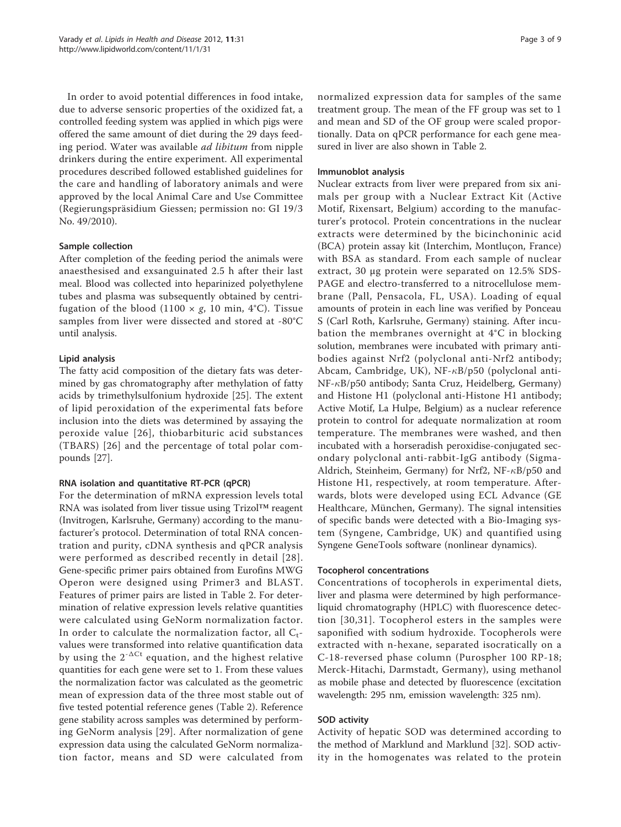In order to avoid potential differences in food intake, due to adverse sensoric properties of the oxidized fat, a controlled feeding system was applied in which pigs were offered the same amount of diet during the 29 days feeding period. Water was available ad libitum from nipple drinkers during the entire experiment. All experimental procedures described followed established guidelines for the care and handling of laboratory animals and were approved by the local Animal Care and Use Committee (Regierungspräsidium Giessen; permission no: GI 19/3 No. 49/2010).

### Sample collection

After completion of the feeding period the animals were anaesthesised and exsanguinated 2.5 h after their last meal. Blood was collected into heparinized polyethylene tubes and plasma was subsequently obtained by centrifugation of the blood (1100  $\times$  g, 10 min, 4°C). Tissue samples from liver were dissected and stored at -80°C until analysis.

### Lipid analysis

The fatty acid composition of the dietary fats was determined by gas chromatography after methylation of fatty acids by trimethylsulfonium hydroxide [[25\]](#page-8-0). The extent of lipid peroxidation of the experimental fats before inclusion into the diets was determined by assaying the peroxide value [[26](#page-8-0)], thiobarbituric acid substances (TBARS) [\[26\]](#page-8-0) and the percentage of total polar compounds [[27\]](#page-8-0).

# RNA isolation and quantitative RT-PCR (qPCR)

For the determination of mRNA expression levels total RNA was isolated from liver tissue using Trizol™ reagent (Invitrogen, Karlsruhe, Germany) according to the manufacturer's protocol. Determination of total RNA concentration and purity, cDNA synthesis and qPCR analysis were performed as described recently in detail [[28\]](#page-8-0). Gene-specific primer pairs obtained from Eurofins MWG Operon were designed using Primer3 and BLAST. Features of primer pairs are listed in Table [2](#page-3-0). For determination of relative expression levels relative quantities were calculated using GeNorm normalization factor. In order to calculate the normalization factor, all  $C_t$ values were transformed into relative quantification data by using the  $2^{-\Delta Ct}$  equation, and the highest relative quantities for each gene were set to 1. From these values the normalization factor was calculated as the geometric mean of expression data of the three most stable out of five tested potential reference genes (Table [2\)](#page-3-0). Reference gene stability across samples was determined by performing GeNorm analysis [[29\]](#page-8-0). After normalization of gene expression data using the calculated GeNorm normalization factor, means and SD were calculated from

normalized expression data for samples of the same treatment group. The mean of the FF group was set to 1 and mean and SD of the OF group were scaled proportionally. Data on qPCR performance for each gene measured in liver are also shown in Table [2.](#page-3-0)

#### Immunoblot analysis

Nuclear extracts from liver were prepared from six animals per group with a Nuclear Extract Kit (Active Motif, Rixensart, Belgium) according to the manufacturer's protocol. Protein concentrations in the nuclear extracts were determined by the bicinchoninic acid (BCA) protein assay kit (Interchim, Montluçon, France) with BSA as standard. From each sample of nuclear extract, 30 μg protein were separated on 12.5% SDS-PAGE and electro-transferred to a nitrocellulose membrane (Pall, Pensacola, FL, USA). Loading of equal amounts of protein in each line was verified by Ponceau S (Carl Roth, Karlsruhe, Germany) staining. After incubation the membranes overnight at 4°C in blocking solution, membranes were incubated with primary antibodies against Nrf2 (polyclonal anti-Nrf2 antibody; Abcam, Cambridge, UK), NF- $\kappa$ B/p50 (polyclonal anti-NF- $\kappa$ B/p50 antibody; Santa Cruz, Heidelberg, Germany) and Histone H1 (polyclonal anti-Histone H1 antibody; Active Motif, La Hulpe, Belgium) as a nuclear reference protein to control for adequate normalization at room temperature. The membranes were washed, and then incubated with a horseradish peroxidise-conjugated secondary polyclonal anti-rabbit-IgG antibody (Sigma-Aldrich, Steinheim, Germany) for Nrf2, NF- $\kappa$ B/p50 and Histone H1, respectively, at room temperature. Afterwards, blots were developed using ECL Advance (GE Healthcare, München, Germany). The signal intensities of specific bands were detected with a Bio-Imaging system (Syngene, Cambridge, UK) and quantified using Syngene GeneTools software (nonlinear dynamics).

#### Tocopherol concentrations

Concentrations of tocopherols in experimental diets, liver and plasma were determined by high performanceliquid chromatography (HPLC) with fluorescence detection [[30,31\]](#page-8-0). Tocopherol esters in the samples were saponified with sodium hydroxide. Tocopherols were extracted with n-hexane, separated isocratically on a C-18-reversed phase column (Purospher 100 RP-18; Merck-Hitachi, Darmstadt, Germany), using methanol as mobile phase and detected by fluorescence (excitation wavelength: 295 nm, emission wavelength: 325 nm).

#### SOD activity

Activity of hepatic SOD was determined according to the method of Marklund and Marklund [[32\]](#page-8-0). SOD activity in the homogenates was related to the protein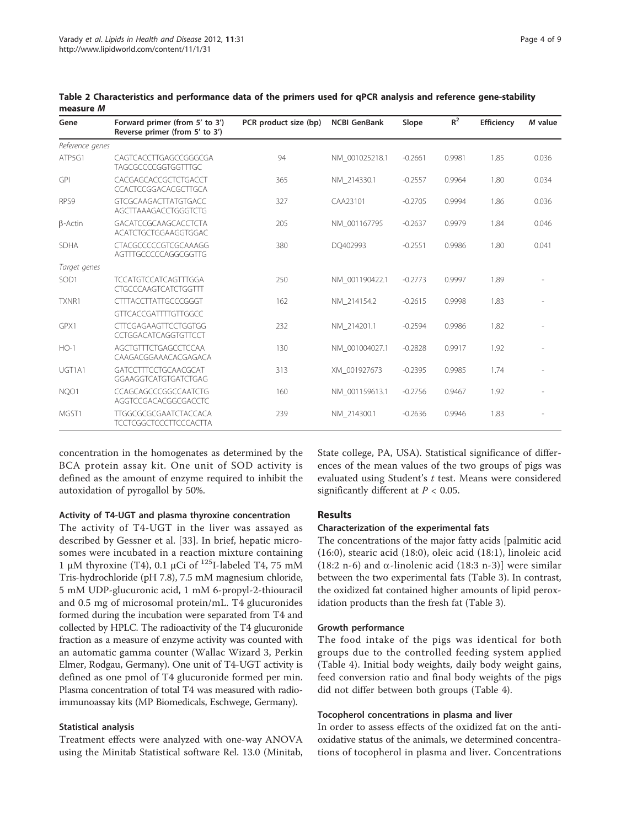| Gene             | Forward primer (from 5' to 3')<br>Reverse primer (from 5' to 3') | PCR product size (bp) | <b>NCBI GenBank</b> | Slope     | $R^2$  | Efficiency | M value |
|------------------|------------------------------------------------------------------|-----------------------|---------------------|-----------|--------|------------|---------|
| Reference genes  |                                                                  |                       |                     |           |        |            |         |
| ATP5G1           | CAGTCACCTTGAGCCGGGCGA<br><b>TAGCGCCCCGGTGGTTTGC</b>              | 94                    | NM 001025218.1      | $-0.2661$ | 0.9981 | 1.85       | 0.036   |
| <b>GPI</b>       | CACGAGCACCGCTCTGACCT<br>CCACTCCGGACACGCTTGCA                     | 365                   | NM 214330.1         | $-0.2557$ | 0.9964 | 1.80       | 0.034   |
| RPS9             | <b>GTCGCAAGACTTATGTGACC</b><br>AGCTTAAAGACCTGGGTCTG              | 327                   | CAA23101            | $-0.2705$ | 0.9994 | 1.86       | 0.036   |
| $\beta$ -Actin   | <b>GACATCCGCAAGCACCTCTA</b><br>ACATCTGCTGGAAGGTGGAC              | 205                   | NM 001167795        | $-0.2637$ | 0.9979 | 1.84       | 0.046   |
| <b>SDHA</b>      | CTACGCCCCCGTCGCAAAGG<br>AGTTTGCCCCCAGGCGGTTG                     | 380                   | DO402993            | $-0.2551$ | 0.9986 | 1.80       | 0.041   |
| Target genes     |                                                                  |                       |                     |           |        |            |         |
| SOD <sub>1</sub> | <b>TCCATGTCCATCAGTTTGGA</b><br><b>CTGCCCAAGTCATCTGGTTT</b>       | 250                   | NM 001190422.1      | $-0.2773$ | 0.9997 | 1.89       |         |
| TXNR1            | <b>CTTTACCTTATTGCCCGGGT</b>                                      | 162                   | NM 214154.2         | $-0.2615$ | 0.9998 | 1.83       |         |
|                  | <b>GTTCACCGATTTTGTTGGCC</b>                                      |                       |                     |           |        |            |         |
| GPX1             | <b>CTTCGAGAAGTTCCTGGTGG</b><br>CCTGGACATCAGGTGTTCCT              | 232                   | NM 214201.1         | $-0.2594$ | 0.9986 | 1.82       |         |
| $HO-1$           | AGCTGTTTCTGAGCCTCCAA<br>CAAGACGGAAACACGAGACA                     | 130                   | NM 001004027.1      | $-0.2828$ | 0.9917 | 1.92       |         |
| UGT1A1           | GATCCTTTCCTGCAACGCAT<br>GGAAGGTCATGTGATCTGAG                     | 313                   | XM 001927673        | $-0.2395$ | 0.9985 | 1.74       |         |
| NQO1             | CCAGCAGCCCGGCCAATCTG<br>AGGTCCGACACGGCGACCTC                     | 160                   | NM 001159613.1      | $-0.2756$ | 0.9467 | 1.92       |         |
| MGST1            | TTGGCGCGCGAATCTACCACA<br><b>TCCTCGGCTCCCTTCCCACTTA</b>           | 239                   | NM 214300.1         | $-0.2636$ | 0.9946 | 1.83       |         |

<span id="page-3-0"></span>Table 2 Characteristics and performance data of the primers used for qPCR analysis and reference gene-stability measure M

concentration in the homogenates as determined by the BCA protein assay kit. One unit of SOD activity is defined as the amount of enzyme required to inhibit the autoxidation of pyrogallol by 50%.

## Activity of T4-UGT and plasma thyroxine concentration

The activity of T4-UGT in the liver was assayed as described by Gessner et al. [[33\]](#page-8-0). In brief, hepatic microsomes were incubated in a reaction mixture containing 1 μM thyroxine (T4), 0.1 μCi of <sup>125</sup>I-labeled T4, 75 mM Tris-hydrochloride (pH 7.8), 7.5 mM magnesium chloride, 5 mM UDP-glucuronic acid, 1 mM 6-propyl-2-thiouracil and 0.5 mg of microsomal protein/mL. T4 glucuronides formed during the incubation were separated from T4 and collected by HPLC. The radioactivity of the T4 glucuronide fraction as a measure of enzyme activity was counted with an automatic gamma counter (Wallac Wizard 3, Perkin Elmer, Rodgau, Germany). One unit of T4-UGT activity is defined as one pmol of T4 glucuronide formed per min. Plasma concentration of total T4 was measured with radioimmunoassay kits (MP Biomedicals, Eschwege, Germany).

#### Statistical analysis

Treatment effects were analyzed with one-way ANOVA using the Minitab Statistical software Rel. 13.0 (Minitab, State college, PA, USA). Statistical significance of differences of the mean values of the two groups of pigs was evaluated using Student's t test. Means were considered significantly different at  $P < 0.05$ .

#### Results

#### Characterization of the experimental fats

The concentrations of the major fatty acids [palmitic acid (16:0), stearic acid (18:0), oleic acid (18:1), linoleic acid (18:2 n-6) and  $\alpha$ -linolenic acid (18:3 n-3)] were similar between the two experimental fats (Table [3](#page-4-0)). In contrast, the oxidized fat contained higher amounts of lipid peroxidation products than the fresh fat (Table [3](#page-4-0)).

#### Growth performance

The food intake of the pigs was identical for both groups due to the controlled feeding system applied (Table [4\)](#page-4-0). Initial body weights, daily body weight gains, feed conversion ratio and final body weights of the pigs did not differ between both groups (Table [4](#page-4-0)).

## Tocopherol concentrations in plasma and liver

In order to assess effects of the oxidized fat on the antioxidative status of the animals, we determined concentrations of tocopherol in plasma and liver. Concentrations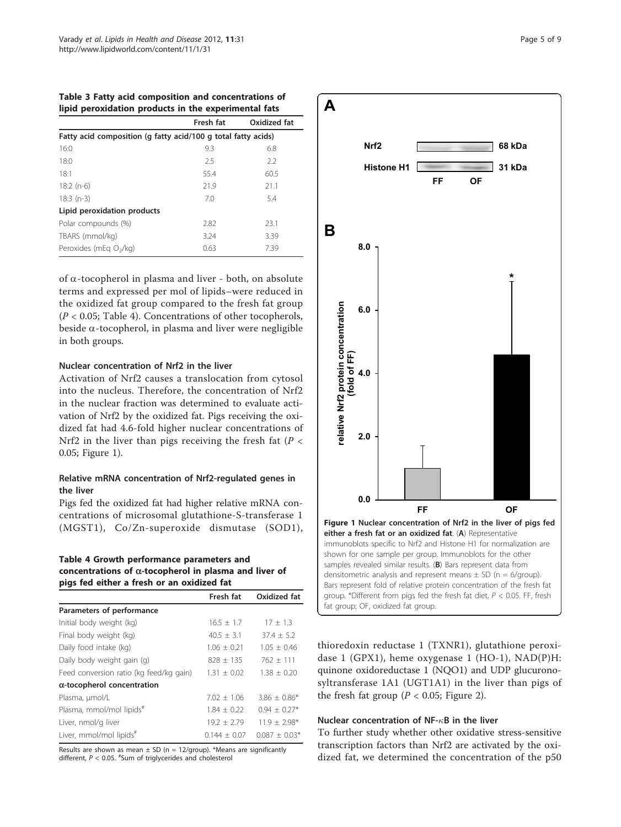<span id="page-4-0"></span>

|  | Table 3 Fatty acid composition and concentrations of |  |
|--|------------------------------------------------------|--|
|  | lipid peroxidation products in the experimental fats |  |

|                                                               | Fresh fat | Oxidized fat |  |  |
|---------------------------------------------------------------|-----------|--------------|--|--|
| Fatty acid composition (q fatty acid/100 g total fatty acids) |           |              |  |  |
| 16:0                                                          | 9.3       | 6.8          |  |  |
| 18:0                                                          | 2.5       | 2.2          |  |  |
| 18:1                                                          | 55.4      | 60.5         |  |  |
| $18:2(n-6)$                                                   | 21.9      | 21.1         |  |  |
| $18:3(n-3)$                                                   | 7.0       | 5.4          |  |  |
| Lipid peroxidation products                                   |           |              |  |  |
| Polar compounds (%)                                           | 2.82      | 23.1         |  |  |
| TBARS (mmol/kg)                                               | 3.24      | 3.39         |  |  |
| Peroxides (mEq O <sub>2</sub> /kg)                            | 0.63      | 7.39         |  |  |

of  $\alpha$ -tocopherol in plasma and liver - both, on absolute terms and expressed per mol of lipids–were reduced in the oxidized fat group compared to the fresh fat group  $(P < 0.05;$  Table 4). Concentrations of other tocopherols, beside  $\alpha$ -tocopherol, in plasma and liver were negligible in both groups.

#### Nuclear concentration of Nrf2 in the liver

Activation of Nrf2 causes a translocation from cytosol into the nucleus. Therefore, the concentration of Nrf2 in the nuclear fraction was determined to evaluate activation of Nrf2 by the oxidized fat. Pigs receiving the oxidized fat had 4.6-fold higher nuclear concentrations of Nrf2 in the liver than pigs receiving the fresh fat ( $P <$ 0.05; Figure 1).

# Relative mRNA concentration of Nrf2-regulated genes in the liver

Pigs fed the oxidized fat had higher relative mRNA concentrations of microsomal glutathione-S-transferase 1 (MGST1), Co/Zn-superoxide dismutase (SOD1),

#### Table 4 Growth performance parameters and concentrations of  $\alpha$ -tocopherol in plasma and liver of pigs fed either a fresh or an oxidized fat

|                                         | Fresh fat      | Oxidized fat     |
|-----------------------------------------|----------------|------------------|
| Parameters of performance               |                |                  |
| Initial body weight (kg)                | $16.5 + 1.7$   | $17 + 1.3$       |
| Final body weight (kg)                  | $40.5 + 3.1$   | $37.4 + 5.2$     |
| Daily food intake (kg)                  | $1.06 + 0.21$  | $1.05 + 0.46$    |
| Daily body weight gain (g)              | $828 + 135$    | $762 + 111$      |
| Feed conversion ratio (kg feed/kg gain) | $1.31 + 0.02$  | $1.38 + 0.20$    |
| $\alpha$ -tocopherol concentration      |                |                  |
| Plasma, umol/L                          | $7.02 + 1.06$  | $3.86 \pm 0.86*$ |
| Plasma, mmol/mol lipids <sup>#</sup>    | $1.84 + 0.22$  | $0.94 + 0.27*$   |
| Liver, nmol/g liver                     | $19.2 + 2.79$  | $11.9 + 2.98*$   |
| Liver, mmol/mol lipids <sup>#</sup>     | $0.144 + 0.07$ | $0.087 + 0.03*$  |

Results are shown as mean  $\pm$  SD (n = 12/group). \*Means are significantly different,  $P < 0.05$ .  $*$ Sum of triglycerides and cholesterol



thioredoxin reductase 1 (TXNR1), glutathione peroxidase 1 (GPX1), heme oxygenase 1 (HO-1), NAD(P)H: quinone oxidoreductase 1 (NQO1) and UDP glucuronosyltransferase 1A1 (UGT1A1) in the liver than pigs of the fresh fat group ( $P < 0.05$ ; Figure [2](#page-5-0)).

#### Nuclear concentration of NF- $\kappa$ B in the liver

To further study whether other oxidative stress-sensitive transcription factors than Nrf2 are activated by the oxidized fat, we determined the concentration of the p50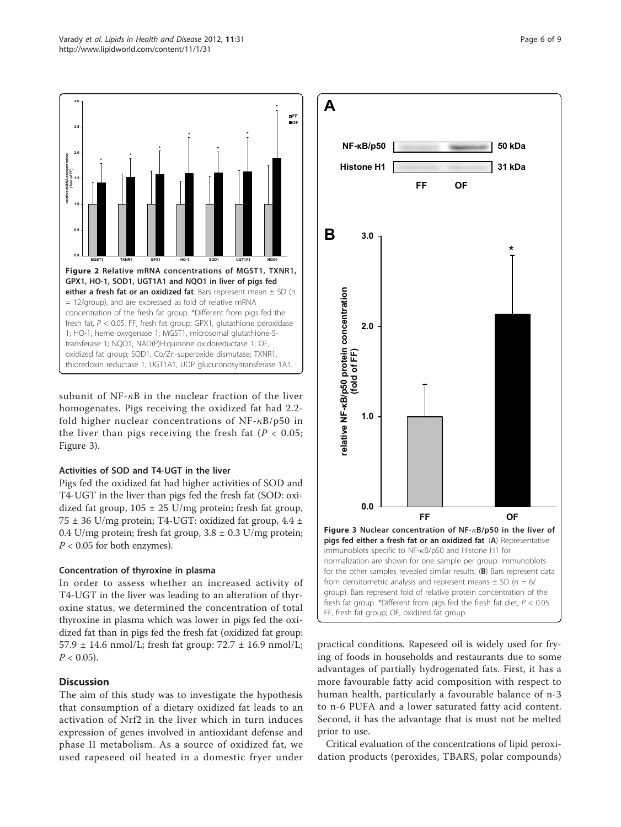<span id="page-5-0"></span>

subunit of NF- $\kappa$ B in the nuclear fraction of the liver homogenates. Pigs receiving the oxidized fat had 2.2 fold higher nuclear concentrations of  $NF - \kappa B/p50$  in the liver than pigs receiving the fresh fat ( $P < 0.05$ ; Figure 3).

# Activities of SOD and T4-UGT in the liver

Pigs fed the oxidized fat had higher activities of SOD and T4-UGT in the liver than pigs fed the fresh fat (SOD: oxidized fat group,  $105 \pm 25$  U/mg protein; fresh fat group, 75  $\pm$  36 U/mg protein; T4-UGT: oxidized fat group, 4.4  $\pm$ 0.4 U/mg protein; fresh fat group,  $3.8 \pm 0.3$  U/mg protein;  $P < 0.05$  for both enzymes).

# Concentration of thyroxine in plasma

In order to assess whether an increased activity of T4-UGT in the liver was leading to an alteration of thyroxine status, we determined the concentration of total thyroxine in plasma which was lower in pigs fed the oxidized fat than in pigs fed the fresh fat (oxidized fat group: 57.9  $\pm$  14.6 nmol/L; fresh fat group: 72.7  $\pm$  16.9 nmol/L;  $P < 0.05$ ).

# **Discussion**

The aim of this study was to investigate the hypothesis that consumption of a dietary oxidized fat leads to an activation of Nrf2 in the liver which in turn induces expression of genes involved in antioxidant defense and phase II metabolism. As a source of oxidized fat, we used rapeseed oil heated in a domestic fryer under



practical conditions. Rapeseed oil is widely used for frying of foods in households and restaurants due to some advantages of partially hydrogenated fats. First, it has a more favourable fatty acid composition with respect to human health, particularly a favourable balance of n-3 to n-6 PUFA and a lower saturated fatty acid content. Second, it has the advantage that is must not be melted prior to use.

Critical evaluation of the concentrations of lipid peroxidation products (peroxides, TBARS, polar compounds)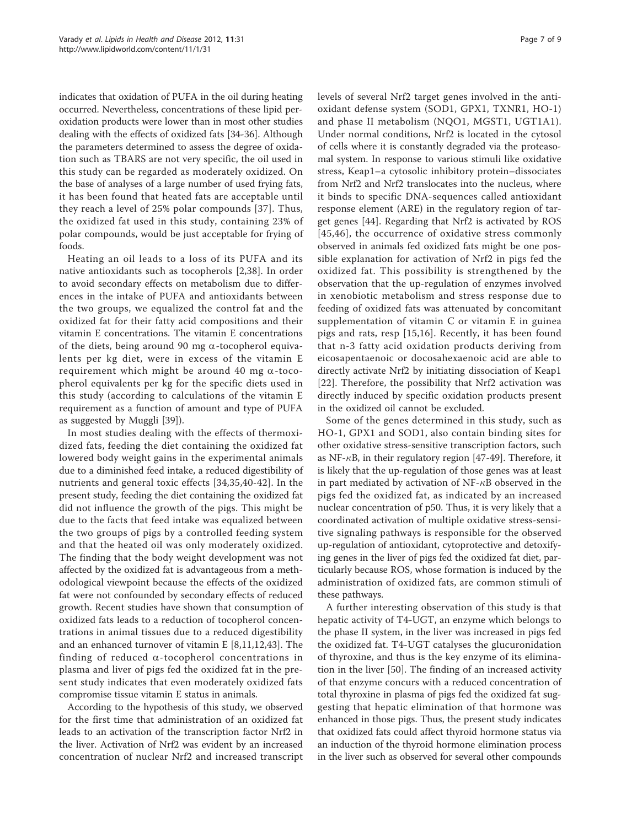indicates that oxidation of PUFA in the oil during heating occurred. Nevertheless, concentrations of these lipid peroxidation products were lower than in most other studies dealing with the effects of oxidized fats [\[34-36](#page-8-0)]. Although the parameters determined to assess the degree of oxidation such as TBARS are not very specific, the oil used in this study can be regarded as moderately oxidized. On the base of analyses of a large number of used frying fats, it has been found that heated fats are acceptable until they reach a level of 25% polar compounds [\[37\]](#page-8-0). Thus, the oxidized fat used in this study, containing 23% of polar compounds, would be just acceptable for frying of foods.

Heating an oil leads to a loss of its PUFA and its native antioxidants such as tocopherols [[2,](#page-7-0)[38\]](#page-8-0). In order to avoid secondary effects on metabolism due to differences in the intake of PUFA and antioxidants between the two groups, we equalized the control fat and the oxidized fat for their fatty acid compositions and their vitamin E concentrations. The vitamin E concentrations of the diets, being around 90 mg  $\alpha$ -tocopherol equivalents per kg diet, were in excess of the vitamin E requirement which might be around 40 mg  $\alpha$ -tocopherol equivalents per kg for the specific diets used in this study (according to calculations of the vitamin E requirement as a function of amount and type of PUFA as suggested by Muggli [\[39](#page-8-0)]).

In most studies dealing with the effects of thermoxidized fats, feeding the diet containing the oxidized fat lowered body weight gains in the experimental animals due to a diminished feed intake, a reduced digestibility of nutrients and general toxic effects [[34,35](#page-8-0),[40-42\]](#page-8-0). In the present study, feeding the diet containing the oxidized fat did not influence the growth of the pigs. This might be due to the facts that feed intake was equalized between the two groups of pigs by a controlled feeding system and that the heated oil was only moderately oxidized. The finding that the body weight development was not affected by the oxidized fat is advantageous from a methodological viewpoint because the effects of the oxidized fat were not confounded by secondary effects of reduced growth. Recent studies have shown that consumption of oxidized fats leads to a reduction of tocopherol concentrations in animal tissues due to a reduced digestibility and an enhanced turnover of vitamin E [[8,11,12,](#page-7-0)[43\]](#page-8-0). The finding of reduced  $\alpha$ -tocopherol concentrations in plasma and liver of pigs fed the oxidized fat in the present study indicates that even moderately oxidized fats compromise tissue vitamin E status in animals.

According to the hypothesis of this study, we observed for the first time that administration of an oxidized fat leads to an activation of the transcription factor Nrf2 in the liver. Activation of Nrf2 was evident by an increased concentration of nuclear Nrf2 and increased transcript levels of several Nrf2 target genes involved in the antioxidant defense system (SOD1, GPX1, TXNR1, HO-1) and phase II metabolism (NQO1, MGST1, UGT1A1). Under normal conditions, Nrf2 is located in the cytosol of cells where it is constantly degraded via the proteasomal system. In response to various stimuli like oxidative stress, Keap1–a cytosolic inhibitory protein–dissociates from Nrf2 and Nrf2 translocates into the nucleus, where it binds to specific DNA-sequences called antioxidant response element (ARE) in the regulatory region of target genes [\[44](#page-8-0)]. Regarding that Nrf2 is activated by ROS [[45,46](#page-8-0)], the occurrence of oxidative stress commonly observed in animals fed oxidized fats might be one possible explanation for activation of Nrf2 in pigs fed the oxidized fat. This possibility is strengthened by the observation that the up-regulation of enzymes involved in xenobiotic metabolism and stress response due to feeding of oxidized fats was attenuated by concomitant supplementation of vitamin C or vitamin E in guinea pigs and rats, resp [[15](#page-7-0),[16\]](#page-7-0). Recently, it has been found that n-3 fatty acid oxidation products deriving from eicosapentaenoic or docosahexaenoic acid are able to directly activate Nrf2 by initiating dissociation of Keap1 [[22](#page-7-0)]. Therefore, the possibility that Nrf2 activation was directly induced by specific oxidation products present in the oxidized oil cannot be excluded.

Some of the genes determined in this study, such as HO-1, GPX1 and SOD1, also contain binding sites for other oxidative stress-sensitive transcription factors, such as NF- $\kappa$ B, in their regulatory region [\[47](#page-8-0)-[49\]](#page-8-0). Therefore, it is likely that the up-regulation of those genes was at least in part mediated by activation of NF- $\kappa$ B observed in the pigs fed the oxidized fat, as indicated by an increased nuclear concentration of p50. Thus, it is very likely that a coordinated activation of multiple oxidative stress-sensitive signaling pathways is responsible for the observed up-regulation of antioxidant, cytoprotective and detoxifying genes in the liver of pigs fed the oxidized fat diet, particularly because ROS, whose formation is induced by the administration of oxidized fats, are common stimuli of these pathways.

A further interesting observation of this study is that hepatic activity of T4-UGT, an enzyme which belongs to the phase II system, in the liver was increased in pigs fed the oxidized fat. T4-UGT catalyses the glucuronidation of thyroxine, and thus is the key enzyme of its elimination in the liver [[50\]](#page-8-0). The finding of an increased activity of that enzyme concurs with a reduced concentration of total thyroxine in plasma of pigs fed the oxidized fat suggesting that hepatic elimination of that hormone was enhanced in those pigs. Thus, the present study indicates that oxidized fats could affect thyroid hormone status via an induction of the thyroid hormone elimination process in the liver such as observed for several other compounds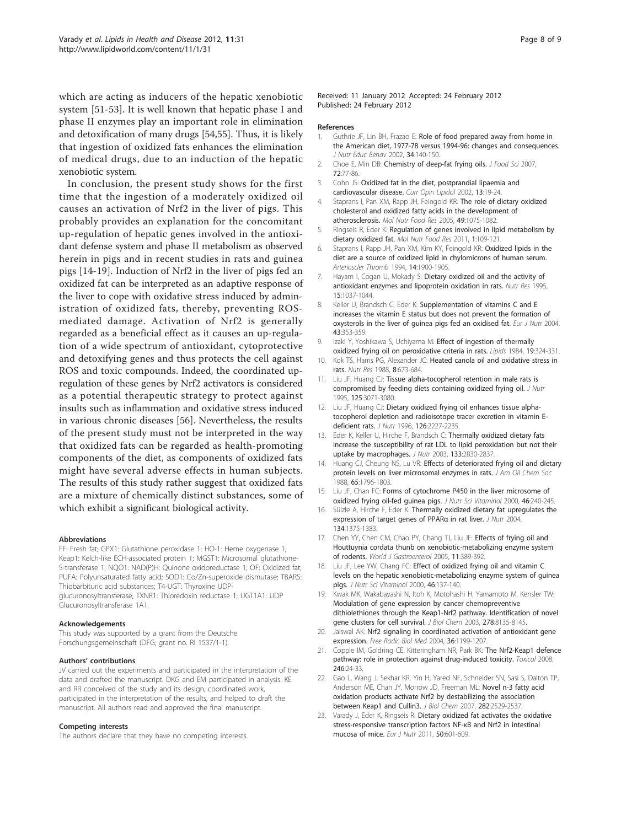<span id="page-7-0"></span>which are acting as inducers of the hepatic xenobiotic system [[51-53](#page-8-0)]. It is well known that hepatic phase I and phase II enzymes play an important role in elimination and detoxification of many drugs [[54,55](#page-8-0)]. Thus, it is likely that ingestion of oxidized fats enhances the elimination of medical drugs, due to an induction of the hepatic xenobiotic system.

In conclusion, the present study shows for the first time that the ingestion of a moderately oxidized oil causes an activation of Nrf2 in the liver of pigs. This probably provides an explanation for the concomitant up-regulation of hepatic genes involved in the antioxidant defense system and phase II metabolism as observed herein in pigs and in recent studies in rats and guinea pigs [14-19]. Induction of Nrf2 in the liver of pigs fed an oxidized fat can be interpreted as an adaptive response of the liver to cope with oxidative stress induced by administration of oxidized fats, thereby, preventing ROSmediated damage. Activation of Nrf2 is generally regarded as a beneficial effect as it causes an up-regulation of a wide spectrum of antioxidant, cytoprotective and detoxifying genes and thus protects the cell against ROS and toxic compounds. Indeed, the coordinated upregulation of these genes by Nrf2 activators is considered as a potential therapeutic strategy to protect against insults such as inflammation and oxidative stress induced in various chronic diseases [[56](#page-8-0)]. Nevertheless, the results of the present study must not be interpreted in the way that oxidized fats can be regarded as health-promoting components of the diet, as components of oxidized fats might have several adverse effects in human subjects. The results of this study rather suggest that oxidized fats are a mixture of chemically distinct substances, some of which exhibit a significant biological activity.

#### Abbreviations

FF: Fresh fat; GPX1: Glutathione peroxidase 1; HO-1: Heme oxygenase 1; Keap1: Kelch-like ECH-associated protein 1; MGST1: Microsomal glutathione-S-transferase 1; NQO1: NAD(P)H: Quinone oxidoreductase 1; OF: Oxidized fat; PUFA: Polyunsaturated fatty acid; SOD1: Co/Zn-superoxide dismutase; TBARS: Thiobarbituric acid substances; T4-UGT: Thyroxine UDPglucuronosyltransferase; TXNR1: Thioredoxin reductase 1; UGT1A1: UDP Glucuronosyltransferase 1A1.

#### Acknowledgements

This study was supported by a grant from the Deutsche Forschungsgemeinschaft (DFG; grant no. RI 1537/1-1).

#### Authors' contributions

JV carried out the experiments and participated in the interpretation of the data and drafted the manuscript. DKG and EM participated in analysis. KE and RR conceived of the study and its design, coordinated work, participated in the interpretation of the results, and helped to draft the manuscript. All authors read and approved the final manuscript.

#### Competing interests

The authors declare that they have no competing interests.

Received: 11 January 2012 Accepted: 24 February 2012 Published: 24 February 2012

#### References

- 1. Guthrie JF, Lin BH, Frazao E: [Role of food prepared away from home in](http://www.ncbi.nlm.nih.gov/pubmed/12047838?dopt=Abstract) [the American diet, 1977-78 versus 1994-96: changes and consequences.](http://www.ncbi.nlm.nih.gov/pubmed/12047838?dopt=Abstract) J Nutr Educ Behav 2002, 34:140-150.
- 2. Choe E, Min DB: Chemistry of deep-fat frying oils. J Food Sci 2007, 72:77-86.
- 3. Cohn JS: [Oxidized fat in the diet, postprandial lipaemia and](http://www.ncbi.nlm.nih.gov/pubmed/11790959?dopt=Abstract) [cardiovascular disease.](http://www.ncbi.nlm.nih.gov/pubmed/11790959?dopt=Abstract) Curr Opin Lipidol 2002, 13:19-24.
- 4. Staprans I, Pan XM, Rapp JH, Feingold KR: [The role of dietary oxidized](http://www.ncbi.nlm.nih.gov/pubmed/16270280?dopt=Abstract) [cholesterol and oxidized fatty acids in the development of](http://www.ncbi.nlm.nih.gov/pubmed/16270280?dopt=Abstract) [atherosclerosis.](http://www.ncbi.nlm.nih.gov/pubmed/16270280?dopt=Abstract) Mol Nutr Food Res 2005, 49:1075-1082.
- 5. Ringseis R, Eder K: Regulation of genes involved in lipid metabolism by dietary oxidized fat. Mol Nutr Food Res 2011, 1:109-121.
- 6. Staprans I, Rapp JH, Pan XM, Kim KY, Feingold KR: [Oxidized lipids in the](http://www.ncbi.nlm.nih.gov/pubmed/7981177?dopt=Abstract) [diet are a source of oxidized lipid in chylomicrons of human serum.](http://www.ncbi.nlm.nih.gov/pubmed/7981177?dopt=Abstract) Arterioscler Thromb 1994, 14:1900-1905.
- 7. Hayam I, Cogan U, Mokady S: Dietary oxidized oil and the activity of antioxidant enzymes and lipoprotein oxidation in rats. Nutr Res 1995, 15:1037-1044.
- 8. Keller U, Brandsch C, Eder K: [Supplementation of vitamins C and E](http://www.ncbi.nlm.nih.gov/pubmed/15309456?dopt=Abstract) [increases the vitamin E status but does not prevent the formation of](http://www.ncbi.nlm.nih.gov/pubmed/15309456?dopt=Abstract) [oxysterols in the liver of guinea pigs fed an oxidised fat.](http://www.ncbi.nlm.nih.gov/pubmed/15309456?dopt=Abstract) Eur J Nutr 2004, 43:353-359.
- 9. Izaki Y, Yoshikawa S, Uchiyama M: [Effect of ingestion of thermally](http://www.ncbi.nlm.nih.gov/pubmed/6738310?dopt=Abstract) [oxidized frying oil on peroxidative criteria in rats.](http://www.ncbi.nlm.nih.gov/pubmed/6738310?dopt=Abstract) Lipids 1984, 19:324-331.
- 10. Kok TS, Harris PG, Alexander JC: Heated canola oil and oxidative stress in rats. Nutr Res 1988, 8:673-684.
- 11. Liu JF, Huang CJ: [Tissue alpha-tocopherol retention in male rats is](http://www.ncbi.nlm.nih.gov/pubmed/7500186?dopt=Abstract) [compromised by feeding diets containing oxidized frying oil.](http://www.ncbi.nlm.nih.gov/pubmed/7500186?dopt=Abstract) J Nutr 1995, 125:3071-3080.
- 12. Liu JF, Huang CJ: [Dietary oxidized frying oil enhances tissue alpha](http://www.ncbi.nlm.nih.gov/pubmed/8814211?dopt=Abstract)[tocopherol depletion and radioisotope tracer excretion in vitamin E](http://www.ncbi.nlm.nih.gov/pubmed/8814211?dopt=Abstract)[deficient rats.](http://www.ncbi.nlm.nih.gov/pubmed/8814211?dopt=Abstract) J Nutr 1996, 126:2227-2235.
- 13. Eder K, Keller U, Hirche F, Brandsch C: [Thermally oxidized dietary fats](http://www.ncbi.nlm.nih.gov/pubmed/12949373?dopt=Abstract) [increase the susceptibility of rat LDL to lipid peroxidation but not their](http://www.ncbi.nlm.nih.gov/pubmed/12949373?dopt=Abstract) [uptake by macrophages.](http://www.ncbi.nlm.nih.gov/pubmed/12949373?dopt=Abstract) J Nutr 2003, 133:2830-2837.
- 14. Huang CJ, Cheung NS, Lu VR: Effects of deteriorated frying oil and dietary protein levels on liver microsomal enzymes in rats. J Am Oil Chem Soc 1988, 65:1796-1803.
- 15. Liu JF, Chan FC: [Forms of cytochrome P450 in the liver microsome of](http://www.ncbi.nlm.nih.gov/pubmed/11234917?dopt=Abstract) [oxidized frying oil-fed guinea pigs.](http://www.ncbi.nlm.nih.gov/pubmed/11234917?dopt=Abstract) J Nutr Sci Vitaminol 2000, 46:240-245.
- 16. Sülzle A, Hirche F, Eder K: [Thermally oxidized dietary fat upregulates the](http://www.ncbi.nlm.nih.gov/pubmed/15173399?dopt=Abstract) [expression of target genes of PPAR](http://www.ncbi.nlm.nih.gov/pubmed/15173399?dopt=Abstract)α in rat liver. J Nutr 2004, 134:1375-1383.
- 17. Chen YY, Chen CM, Chao PY, Chang TJ, Liu JF: [Effects of frying oil and](http://www.ncbi.nlm.nih.gov/pubmed/15637750?dopt=Abstract) [Houttuynia cordata thunb on xenobiotic-metabolizing enzyme system](http://www.ncbi.nlm.nih.gov/pubmed/15637750?dopt=Abstract) [of rodents.](http://www.ncbi.nlm.nih.gov/pubmed/15637750?dopt=Abstract) World J Gastroenterol 2005, 11:389-392.
- 18. Liu JF, Lee YW, Chang FC: [Effect of oxidized frying oil and vitamin C](http://www.ncbi.nlm.nih.gov/pubmed/10955280?dopt=Abstract) [levels on the hepatic xenobiotic-metabolizing enzyme system of guinea](http://www.ncbi.nlm.nih.gov/pubmed/10955280?dopt=Abstract) [pigs.](http://www.ncbi.nlm.nih.gov/pubmed/10955280?dopt=Abstract) J Nutr Sci Vitaminol 2000, 46:137-140.
- 19. Kwak MK, Wakabayashi N, Itoh K, Motohashi H, Yamamoto M, Kensler TW: [Modulation of gene expression by cancer chemopreventive](http://www.ncbi.nlm.nih.gov/pubmed/12506115?dopt=Abstract) [dithiolethiones through the Keap1-Nrf2 pathway. Identification of novel](http://www.ncbi.nlm.nih.gov/pubmed/12506115?dopt=Abstract) [gene clusters for cell survival.](http://www.ncbi.nlm.nih.gov/pubmed/12506115?dopt=Abstract) J Biol Chem 2003, 278:8135-8145
- 20. Jaiswal AK: [Nrf2 signaling in coordinated activation of antioxidant gene](http://www.ncbi.nlm.nih.gov/pubmed/15110384?dopt=Abstract) [expression.](http://www.ncbi.nlm.nih.gov/pubmed/15110384?dopt=Abstract) Free Radic Biol Med 2004, 36:1199-1207.
- 21. Copple IM, Goldring CE, Kitteringham NR, Park BK: The Nrf2-Keap1 defence pathway: role in protection against drug-induced toxicity. Toxicol 2008, 246:24-33.
- 22. Gao L, Wang J, Sekhar KR, Yin H, Yared NF, Schneider SN, Sasi S, Dalton TP, Anderson ME, Chan JY, Morrow JD, Freeman ML: [Novel n-3 fatty acid](http://www.ncbi.nlm.nih.gov/pubmed/17127771?dopt=Abstract) [oxidation products activate Nrf2 by destabilizing the association](http://www.ncbi.nlm.nih.gov/pubmed/17127771?dopt=Abstract) [between Keap1 and Cullin3.](http://www.ncbi.nlm.nih.gov/pubmed/17127771?dopt=Abstract) J Biol Chem 2007, 282:2529-2537.
- 23. Varady J, Eder K, Ringseis R: [Dietary oxidized fat activates the oxidative](http://www.ncbi.nlm.nih.gov/pubmed/21544513?dopt=Abstract) [stress-responsive transcription factors NF-](http://www.ncbi.nlm.nih.gov/pubmed/21544513?dopt=Abstract)κB and Nrf2 in intestinal [mucosa of mice.](http://www.ncbi.nlm.nih.gov/pubmed/21544513?dopt=Abstract) Eur J Nutr 2011, 50:601-609.